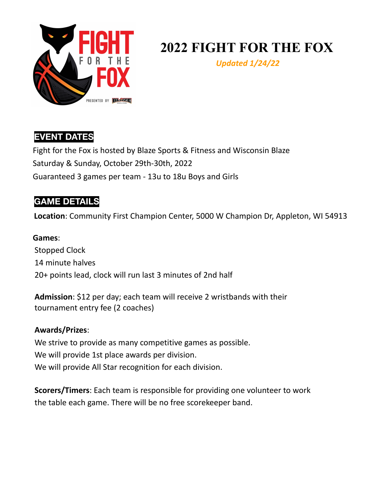

# **2022 FIGHT FOR THE FOX**

*Updated 1/24/22*

### **EVENT DATES**

Fight for the Fox is hosted by Blaze Sports & Fitness and Wisconsin Blaze Saturday & Sunday, October 29th-30th, 2022 Guaranteed 3 games per team - 13u to 18u Boys and Girls

### **GAME DETAILS**

**Location**: Community First Champion Center, 5000 W Champion Dr, Appleton, WI 54913

### **Games**: Stopped Clock 14 minute halves 20+ points lead, clock will run last 3 minutes of 2nd half

**Admission**: \$12 per day; each team will receive 2 wristbands with their tournament entry fee (2 coaches)

### **Awards/Prizes**:

We strive to provide as many competitive games as possible. We will provide 1st place awards per division. We will provide All Star recognition for each division.

**Scorers/Timers**: Each team is responsible for providing one volunteer to work the table each game. There will be no free scorekeeper band.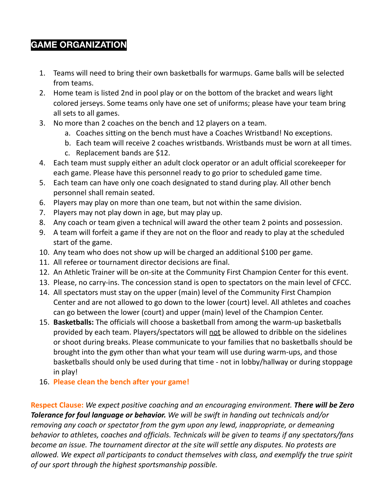### **GAME ORGANIZATION**

- 1. Teams will need to bring their own basketballs for warmups. Game balls will be selected from teams.
- 2. Home team is listed 2nd in pool play or on the bottom of the bracket and wears light colored jerseys. Some teams only have one set of uniforms; please have your team bring all sets to all games.
- 3. No more than 2 coaches on the bench and 12 players on a team.
	- a. Coaches sitting on the bench must have a Coaches Wristband! No exceptions.
	- b. Each team will receive 2 coaches wristbands. Wristbands must be worn at all times.
	- c. Replacement bands are \$12.
- 4. Each team must supply either an adult clock operator or an adult official scorekeeper for each game. Please have this personnel ready to go prior to scheduled game time.
- 5. Each team can have only one coach designated to stand during play. All other bench personnel shall remain seated.
- 6. Players may play on more than one team, but not within the same division.
- 7. Players may not play down in age, but may play up.
- 8. Any coach or team given a technical will award the other team 2 points and possession.
- 9. A team will forfeit a game if they are not on the floor and ready to play at the scheduled start of the game.
- 10. Any team who does not show up will be charged an additional \$100 per game.
- 11. All referee or tournament director decisions are final.
- 12. An Athletic Trainer will be on-site at the Community First Champion Center for this event.
- 13. Please, no carry-ins. The concession stand is open to spectators on the main level of CFCC.
- 14. All spectators must stay on the upper (main) level of the Community First Champion Center and are not allowed to go down to the lower (court) level. All athletes and coaches can go between the lower (court) and upper (main) level of the Champion Center.
- 15. **Basketballs:** The officials will choose a basketball from among the warm-up basketballs provided by each team. Players/spectators will not be allowed to dribble on the sidelines or shoot during breaks. Please communicate to your families that no basketballs should be brought into the gym other than what your team will use during warm-ups, and those basketballs should only be used during that time - not in lobby/hallway or during stoppage in play!
- 16. **Please clean the bench after your game!**

**Respect Clause:** *We expect positive coaching and an encouraging environment. There will be Zero Tolerance for foul language or behavior. We will be swift in handing out technicals and/or removing any coach or spectator from the gym upon any lewd, inappropriate, or demeaning behavior to athletes, coaches and officials. Technicals will be given to teams if any spectators/fans become an issue. The tournament director at the site will settle any disputes. No protests are allowed. We expect all participants to conduct themselves with class, and exemplify the true spirit of our sport through the highest sportsmanship possible.*